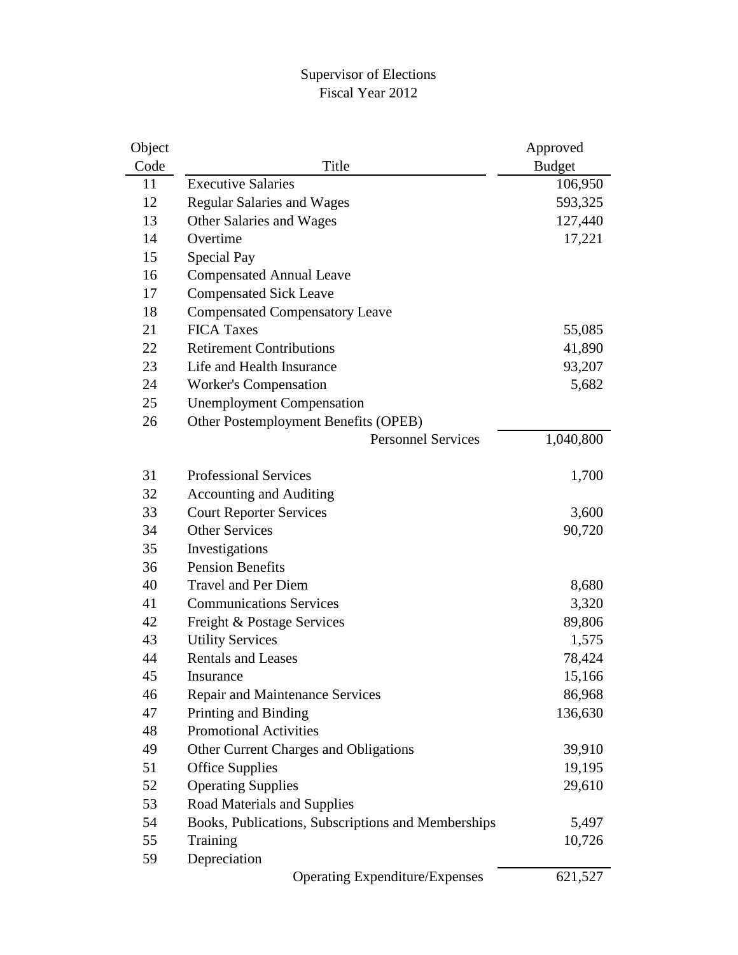#### Supervisor of Elections Fiscal Year 2012

| Object |                                                    | Approved      |
|--------|----------------------------------------------------|---------------|
| Code   | Title                                              | <b>Budget</b> |
| 11     | <b>Executive Salaries</b>                          | 106,950       |
| 12     | <b>Regular Salaries and Wages</b>                  | 593,325       |
| 13     | Other Salaries and Wages                           | 127,440       |
| 14     | Overtime                                           | 17,221        |
| 15     | Special Pay                                        |               |
| 16     | <b>Compensated Annual Leave</b>                    |               |
| 17     | <b>Compensated Sick Leave</b>                      |               |
| 18     | <b>Compensated Compensatory Leave</b>              |               |
| 21     | <b>FICA Taxes</b>                                  | 55,085        |
| 22     | <b>Retirement Contributions</b>                    | 41,890        |
| 23     | Life and Health Insurance                          | 93,207        |
| 24     | <b>Worker's Compensation</b>                       | 5,682         |
| 25     | <b>Unemployment Compensation</b>                   |               |
| 26     | Other Postemployment Benefits (OPEB)               |               |
|        | <b>Personnel Services</b>                          | 1,040,800     |
|        |                                                    |               |
| 31     | <b>Professional Services</b>                       | 1,700         |
| 32     | <b>Accounting and Auditing</b>                     |               |
| 33     | <b>Court Reporter Services</b>                     | 3,600         |
| 34     | <b>Other Services</b>                              | 90,720        |
| 35     | Investigations                                     |               |
| 36     | <b>Pension Benefits</b>                            |               |
| 40     | <b>Travel and Per Diem</b>                         | 8,680         |
| 41     | <b>Communications Services</b>                     | 3,320         |
| 42     | Freight & Postage Services                         | 89,806        |
| 43     | <b>Utility Services</b>                            | 1,575         |
| 44     | <b>Rentals and Leases</b>                          | 78,424        |
| 45     | Insurance                                          | 15,166        |
| 46     | Repair and Maintenance Services                    | 86,968        |
| 47     | Printing and Binding                               | 136,630       |
| 48     | <b>Promotional Activities</b>                      |               |
| 49     | Other Current Charges and Obligations              | 39,910        |
| 51     | <b>Office Supplies</b>                             | 19,195        |
| 52     | <b>Operating Supplies</b>                          | 29,610        |
| 53     | Road Materials and Supplies                        |               |
| 54     | Books, Publications, Subscriptions and Memberships | 5,497         |
| 55     | Training                                           | 10,726        |
| 59     | Depreciation                                       |               |
|        | <b>Operating Expenditure/Expenses</b>              | 621,527       |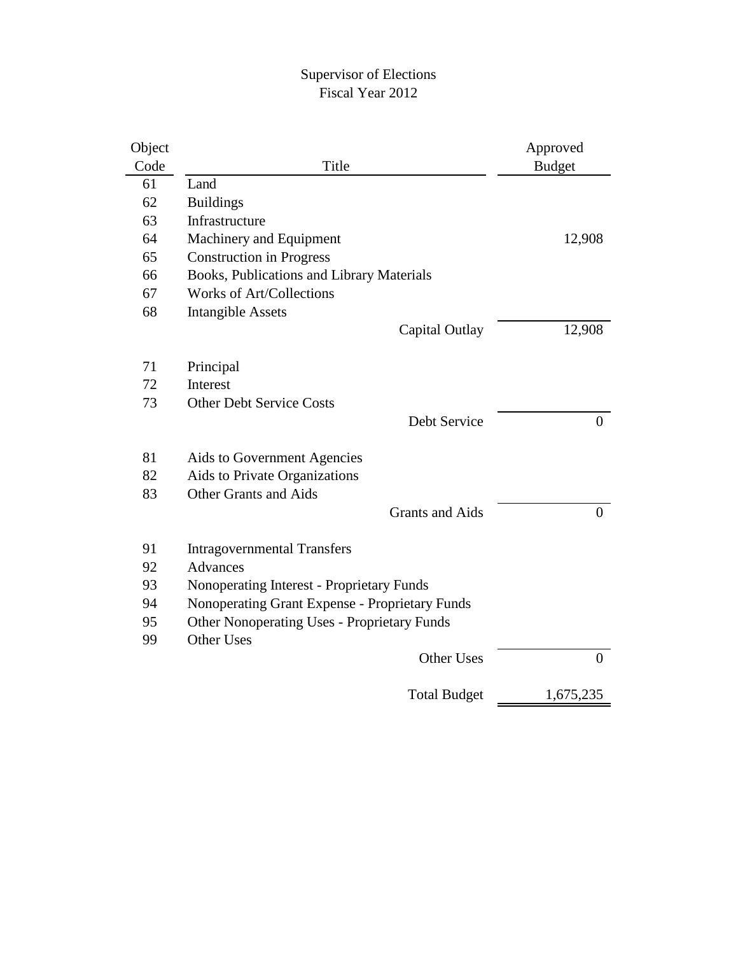#### Supervisor of Elections Fiscal Year 2012

| Object |                                                    | Approved         |
|--------|----------------------------------------------------|------------------|
| Code   | Title                                              | <b>Budget</b>    |
| 61     | Land                                               |                  |
| 62     | <b>Buildings</b>                                   |                  |
| 63     | Infrastructure                                     |                  |
| 64     | Machinery and Equipment                            | 12,908           |
| 65     | <b>Construction in Progress</b>                    |                  |
| 66     | Books, Publications and Library Materials          |                  |
| 67     | <b>Works of Art/Collections</b>                    |                  |
| 68     | <b>Intangible Assets</b>                           |                  |
|        | Capital Outlay                                     | 12,908           |
|        |                                                    |                  |
| 71     | Principal                                          |                  |
| 72     | Interest                                           |                  |
| 73     | <b>Other Debt Service Costs</b>                    |                  |
|        | Debt Service                                       | $\overline{0}$   |
| 81     | Aids to Government Agencies                        |                  |
| 82     | Aids to Private Organizations                      |                  |
| 83     | <b>Other Grants and Aids</b>                       |                  |
|        | <b>Grants and Aids</b>                             | $\boldsymbol{0}$ |
|        |                                                    |                  |
| 91     | <b>Intragovernmental Transfers</b>                 |                  |
| 92     | Advances                                           |                  |
| 93     | Nonoperating Interest - Proprietary Funds          |                  |
| 94     | Nonoperating Grant Expense - Proprietary Funds     |                  |
| 95     | <b>Other Nonoperating Uses - Proprietary Funds</b> |                  |
| 99     | <b>Other Uses</b>                                  |                  |
|        | <b>Other Uses</b>                                  | $\overline{0}$   |
|        | <b>Total Budget</b>                                | 1,675,235        |
|        |                                                    |                  |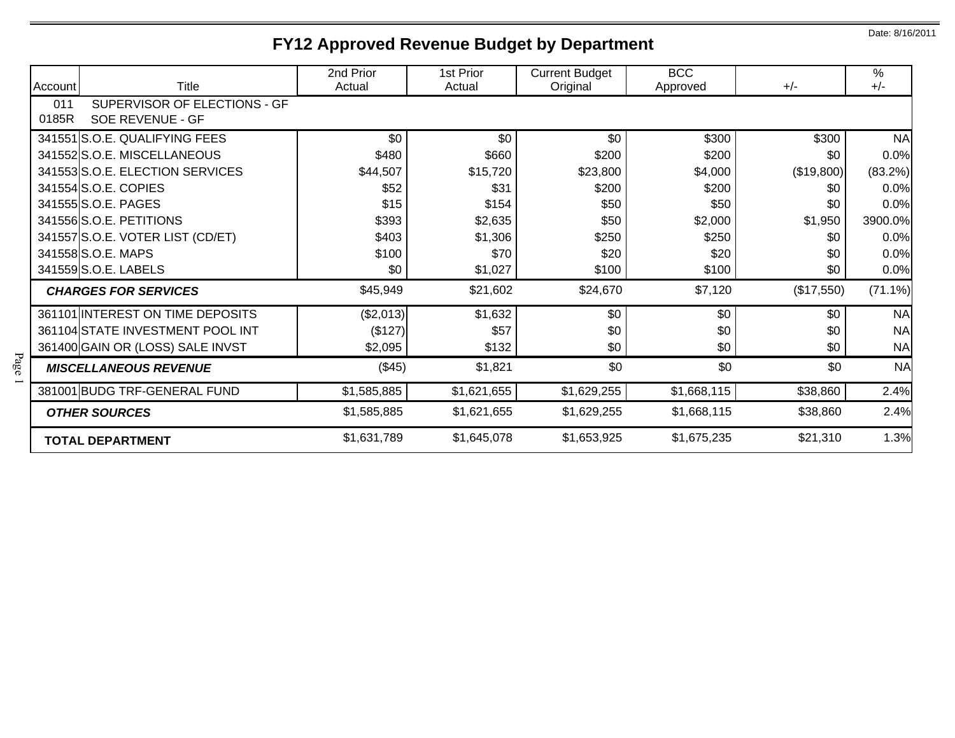# **FY12 Approved Revenue Budget by Department**

| Account      | Title                                            | 2nd Prior<br>Actual | 1st Prior<br>Actual | <b>Current Budget</b><br>Original | <b>BCC</b><br>Approved | $+/-$      | %<br>$+/-$ |
|--------------|--------------------------------------------------|---------------------|---------------------|-----------------------------------|------------------------|------------|------------|
| 011<br>0185R | SUPERVISOR OF ELECTIONS - GF<br>SOE REVENUE - GF |                     |                     |                                   |                        |            |            |
|              | 341551 S.O.E. QUALIFYING FEES                    | \$0                 | \$0                 | \$0                               | \$300                  | \$300      | <b>NA</b>  |
|              | 341552S.O.E. MISCELLANEOUS                       | \$480               | \$660               | \$200                             | \$200                  | \$0        | 0.0%       |
|              | 341553 S.O.E. ELECTION SERVICES                  | \$44,507            | \$15,720            | \$23,800                          | \$4,000                | (\$19,800) | (83.2%)    |
|              | 341554 S.O.E. COPIES                             | \$52                | \$31                | \$200                             | \$200                  | \$0        | 0.0%       |
|              | 341555 S.O.E. PAGES                              | \$15                | \$154               | \$50                              | \$50                   | \$0        | 0.0%       |
|              | 341556 S.O.E. PETITIONS                          | \$393               | \$2,635             | \$50                              | \$2,000                | \$1,950    | 3900.0%    |
|              | 341557 S.O.E. VOTER LIST (CD/ET)                 | \$403               | \$1,306             | \$250                             | \$250                  | \$0        | 0.0%       |
|              | 341558 S.O.E. MAPS                               | \$100               | \$70                | \$20                              | \$20                   | \$0        | 0.0%       |
|              | 341559 S.O.E. LABELS                             | \$0                 | \$1,027             | \$100                             | \$100                  | \$0        | 0.0%       |
|              | <b>CHARGES FOR SERVICES</b>                      | \$45,949            | \$21,602            | \$24,670                          | \$7,120                | (\$17,550) | $(71.1\%)$ |
|              | 361101 INTEREST ON TIME DEPOSITS                 | (\$2,013)           | \$1,632             | \$0                               | \$0                    | \$0        | <b>NA</b>  |
|              | 361104 STATE INVESTMENT POOL INT                 | (\$127)             | \$57                | \$0                               | \$0                    | \$0        | <b>NA</b>  |
|              | 361400 GAIN OR (LOSS) SALE INVST                 | \$2,095             | \$132               | \$0                               | \$0                    | \$0        | <b>NA</b>  |
|              | <b>MISCELLANEOUS REVENUE</b>                     | (\$45)              | \$1,821             | \$0                               | \$0                    | \$0        | <b>NA</b>  |
|              | 381001 BUDG TRF-GENERAL FUND                     | \$1,585,885         | \$1,621,655         | \$1,629,255                       | \$1,668,115            | \$38,860   | 2.4%       |
|              | <b>OTHER SOURCES</b>                             | \$1,585,885         | \$1,621,655         | \$1,629,255                       | \$1,668,115            | \$38,860   | 2.4%       |
|              | <b>TOTAL DEPARTMENT</b>                          | \$1,631,789         | \$1,645,078         | \$1,653,925                       | \$1,675,235            | \$21,310   | 1.3%       |

Date: 8/16/2011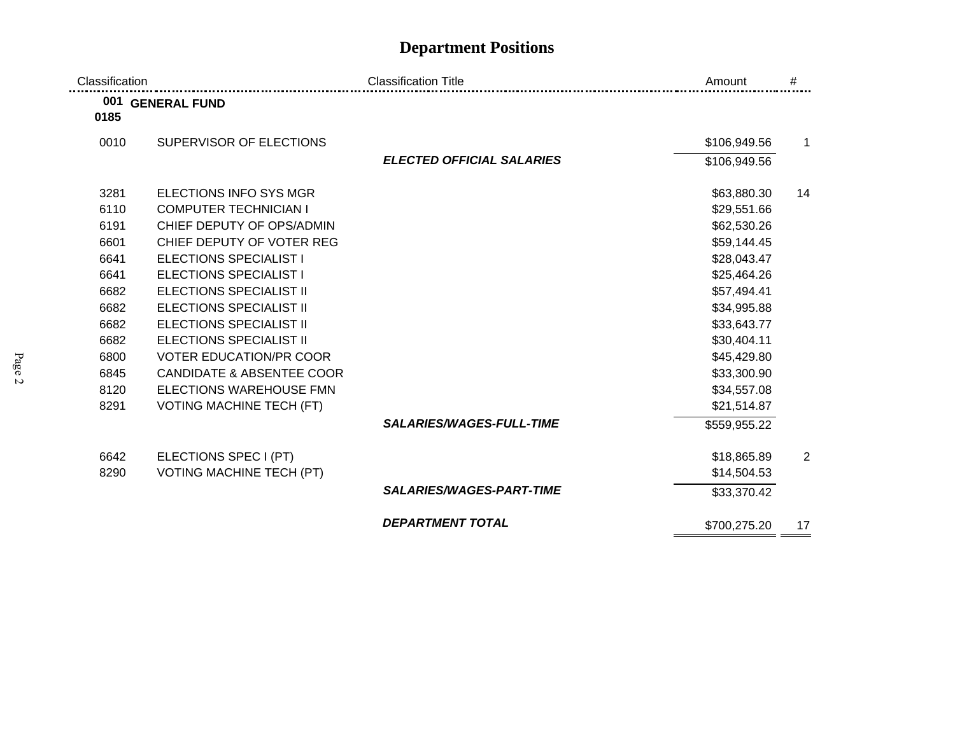## **Department Positions**

| Classification |                                      | <b>Classification Title</b>      | Amount       | #  |
|----------------|--------------------------------------|----------------------------------|--------------|----|
| 0185           | 001 GENERAL FUND                     |                                  |              |    |
| 0010           | SUPERVISOR OF ELECTIONS              |                                  | \$106,949.56 | 1  |
|                |                                      | <b>ELECTED OFFICIAL SALARIES</b> | \$106,949.56 |    |
| 3281           | <b>ELECTIONS INFO SYS MGR</b>        |                                  | \$63,880.30  | 14 |
| 6110           | <b>COMPUTER TECHNICIAN I</b>         |                                  | \$29,551.66  |    |
| 6191           | CHIEF DEPUTY OF OPS/ADMIN            |                                  | \$62,530.26  |    |
| 6601           | CHIEF DEPUTY OF VOTER REG            |                                  | \$59,144.45  |    |
| 6641           | <b>ELECTIONS SPECIALIST I</b>        |                                  | \$28,043.47  |    |
| 6641           | <b>ELECTIONS SPECIALIST I</b>        |                                  | \$25,464.26  |    |
| 6682           | <b>ELECTIONS SPECIALIST II</b>       |                                  | \$57,494.41  |    |
| 6682           | <b>ELECTIONS SPECIALIST II</b>       |                                  | \$34,995.88  |    |
| 6682           | <b>ELECTIONS SPECIALIST II</b>       |                                  | \$33,643.77  |    |
| 6682           | <b>ELECTIONS SPECIALIST II</b>       |                                  | \$30,404.11  |    |
| 6800           | <b>VOTER EDUCATION/PR COOR</b>       |                                  | \$45,429.80  |    |
| 6845           | <b>CANDIDATE &amp; ABSENTEE COOR</b> |                                  | \$33,300.90  |    |
| 8120           | ELECTIONS WAREHOUSE FMN              |                                  | \$34,557.08  |    |
| 8291           | <b>VOTING MACHINE TECH (FT)</b>      |                                  | \$21,514.87  |    |
|                |                                      | <b>SALARIES/WAGES-FULL-TIME</b>  | \$559,955.22 |    |
| 6642           | ELECTIONS SPEC I (PT)                |                                  | \$18,865.89  | 2  |
| 8290           | <b>VOTING MACHINE TECH (PT)</b>      |                                  | \$14,504.53  |    |
|                |                                      | <b>SALARIES/WAGES-PART-TIME</b>  | \$33,370.42  |    |
|                |                                      | <b>DEPARTMENT TOTAL</b>          | \$700,275.20 | 17 |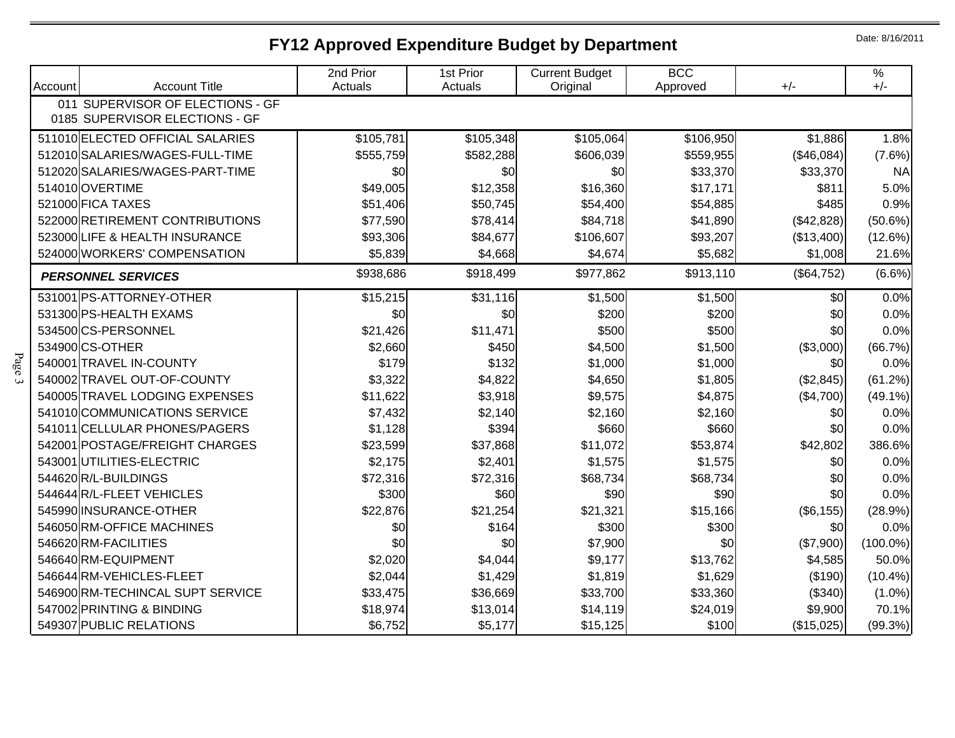## **FY12 Approved Expenditure Budget by Department**

Date: 8/16/2011

| Account                                                            | <b>Account Title</b>             | 2nd Prior<br>Actuals | 1st Prior<br>Actuals | <b>Current Budget</b><br>Original | <b>BCC</b><br>Approved | $+/-$      | $\%$<br>$+/-$ |
|--------------------------------------------------------------------|----------------------------------|----------------------|----------------------|-----------------------------------|------------------------|------------|---------------|
| 011 SUPERVISOR OF ELECTIONS - GF<br>0185 SUPERVISOR ELECTIONS - GF |                                  |                      |                      |                                   |                        |            |               |
|                                                                    | 511010 ELECTED OFFICIAL SALARIES | \$105,781            | \$105,348            | \$105,064                         | \$106,950              | \$1,886    | 1.8%          |
|                                                                    | 512010 SALARIES/WAGES-FULL-TIME  | \$555,759            | \$582,288            | \$606,039                         | \$559,955              | (\$46,084) | (7.6%)        |
|                                                                    | 512020 SALARIES/WAGES-PART-TIME  | \$0                  | \$0                  | \$0                               | \$33,370               | \$33,370   | <b>NA</b>     |
|                                                                    | 514010 OVERTIME                  | \$49,005             | \$12,358             | \$16,360                          | \$17,171               | \$811      | 5.0%          |
|                                                                    | 521000 FICA TAXES                | \$51,406             | \$50,745             | \$54,400                          | \$54,885               | \$485      | 0.9%          |
|                                                                    | 522000 RETIREMENT CONTRIBUTIONS  | \$77,590             | \$78,414             | \$84,718                          | \$41,890               | (\$42,828) | (50.6%)       |
|                                                                    | 523000 LIFE & HEALTH INSURANCE   | \$93,306             | \$84,677             | \$106,607                         | \$93,207               | (\$13,400) | (12.6%)       |
|                                                                    | 524000 WORKERS' COMPENSATION     | \$5,839              | \$4,668              | \$4,674                           | \$5,682                | \$1,008    | 21.6%         |
|                                                                    | <b>PERSONNEL SERVICES</b>        | \$938,686            | \$918,499            | \$977,862                         | \$913,110              | (\$64,752) | $(6.6\%)$     |
|                                                                    | 531001 PS-ATTORNEY-OTHER         | \$15,215             | \$31,116             | \$1,500                           | \$1,500                | \$0        | 0.0%          |
|                                                                    | 531300 PS-HEALTH EXAMS           | \$0                  | \$0                  | \$200                             | \$200                  | \$0        | 0.0%          |
|                                                                    | 534500 CS-PERSONNEL              | \$21,426             | \$11,471             | \$500                             | \$500                  | \$0        | 0.0%          |
|                                                                    | 534900 CS-OTHER                  | \$2,660              | \$450                | \$4,500                           | \$1,500                | (\$3,000)  | (66.7%)       |
|                                                                    | 540001 TRAVEL IN-COUNTY          | \$179                | \$132                | \$1,000                           | \$1,000                | \$0        | 0.0%          |
|                                                                    | 540002 TRAVEL OUT-OF-COUNTY      | \$3,322              | \$4,822              | \$4,650                           | \$1,805                | (\$2,845)  | (61.2%)       |
|                                                                    | 540005 TRAVEL LODGING EXPENSES   | \$11,622             | \$3,918              | \$9,575                           | \$4,875                | (\$4,700)  | $(49.1\%)$    |
|                                                                    | 541010 COMMUNICATIONS SERVICE    | \$7,432              | \$2,140              | \$2,160                           | \$2,160                | \$0        | 0.0%          |
|                                                                    | 541011 CELLULAR PHONES/PAGERS    | \$1,128              | \$394                | \$660                             | \$660                  | \$0        | 0.0%          |
|                                                                    | 542001 POSTAGE/FREIGHT CHARGES   | \$23,599             | \$37,868             | \$11,072                          | \$53,874               | \$42,802   | 386.6%        |
|                                                                    | 543001 UTILITIES-ELECTRIC        | \$2,175              | \$2,401              | \$1,575                           | \$1,575                | \$0        | 0.0%          |
|                                                                    | 544620 R/L-BUILDINGS             | \$72,316             | \$72,316             | \$68,734                          | \$68,734               | \$0        | 0.0%          |
|                                                                    | 544644 R/L-FLEET VEHICLES        | \$300                | \$60                 | \$90                              | \$90                   | \$0        | 0.0%          |
|                                                                    | 545990 INSURANCE-OTHER           | \$22,876             | \$21,254             | \$21,321                          | \$15,166               | (\$6, 155) | (28.9%)       |
|                                                                    | 546050 RM-OFFICE MACHINES        | \$0                  | \$164                | \$300                             | \$300                  | \$0        | 0.0%          |
|                                                                    | 546620 RM-FACILITIES             | \$0                  | \$0                  | \$7,900                           | \$0                    | (\$7,900)  | $(100.0\%)$   |
|                                                                    | 546640RM-EQUIPMENT               | \$2,020              | \$4,044              | \$9,177                           | \$13,762               | \$4,585    | 50.0%         |
|                                                                    | 546644 RM-VEHICLES-FLEET         | \$2,044              | \$1,429              | \$1,819                           | \$1,629                | (\$190)    | $(10.4\%)$    |
|                                                                    | 546900 RM-TECHINCAL SUPT SERVICE | \$33,475             | \$36,669             | \$33,700                          | \$33,360               | (\$340)    | $(1.0\%)$     |
|                                                                    | 547002 PRINTING & BINDING        | \$18,974             | \$13,014             | \$14,119                          | \$24,019               | \$9,900    | 70.1%         |
|                                                                    | 549307 PUBLIC RELATIONS          | \$6,752              | \$5,177              | \$15,125                          | \$100                  | (\$15,025) | (99.3%)       |

Page 3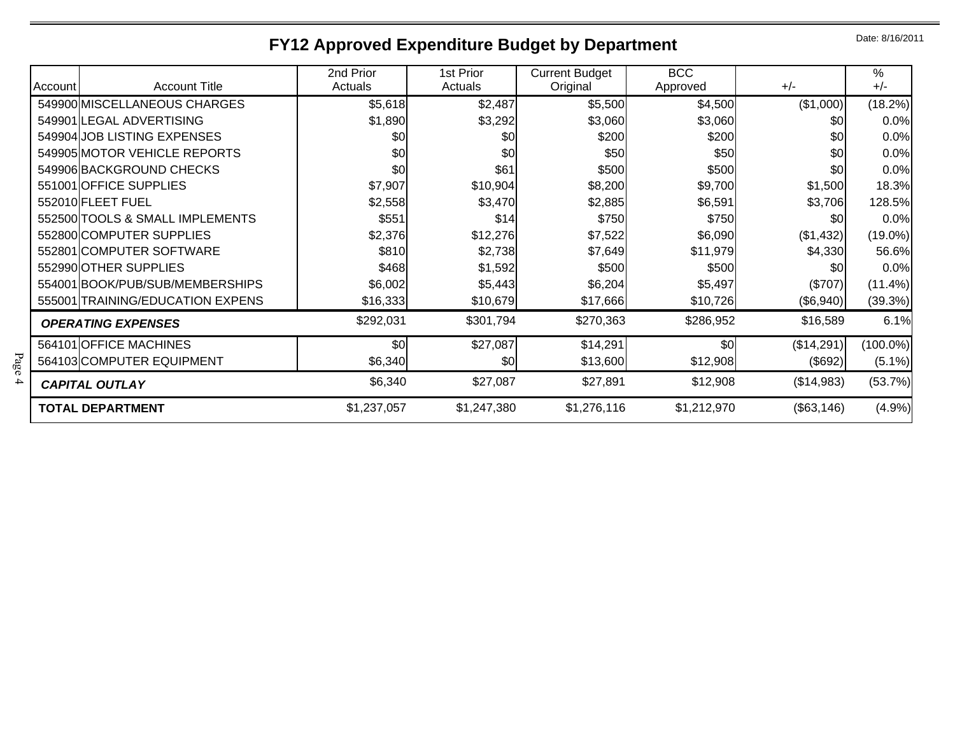## **FY12 Approved Expenditure Budget by Department**

Date: 8/16/2011

|         |                                  | 2nd Prior   | 1st Prior   | <b>Current Budget</b> | <b>BCC</b>  |            | %           |
|---------|----------------------------------|-------------|-------------|-----------------------|-------------|------------|-------------|
| Account | <b>Account Title</b>             | Actuals     | Actuals     | Original              | Approved    | $+/-$      | $+/-$       |
|         | 549900 MISCELLANEOUS CHARGES     | \$5,618     | \$2,487     | \$5,500               | \$4,500     | (\$1,000)  | (18.2%)     |
|         | 549901 LEGAL ADVERTISING         | \$1,890     | \$3,292     | \$3,060               | \$3,060     | \$0        | 0.0%        |
|         | 549904 JOB LISTING EXPENSES      | \$0         | \$0         | \$200                 | \$200       | \$0        | 0.0%        |
|         | 549905 MOTOR VEHICLE REPORTS     | \$0         | \$0         | \$50                  | \$50        | \$0        | 0.0%        |
|         | 549906 BACKGROUND CHECKS         | \$0         | \$61        | \$500                 | \$500       | \$0        | 0.0%        |
|         | 551001 OFFICE SUPPLIES           | \$7,907     | \$10,904    | \$8,200               | \$9,700     | \$1,500    | 18.3%       |
|         | 552010 FLEET FUEL                | \$2,558     | \$3,470     | \$2,885               | \$6,591     | \$3,706    | 128.5%      |
|         | 552500 TOOLS & SMALL IMPLEMENTS  | \$551       | \$14        | \$750                 | \$750       | \$0        | 0.0%        |
|         | 552800 COMPUTER SUPPLIES         | \$2,376     | \$12,276    | \$7,522               | \$6,090     | ( \$1,432) | $(19.0\%)$  |
|         | 552801 COMPUTER SOFTWARE         | \$810       | \$2,738     | \$7,649               | \$11,979    | \$4,330    | 56.6%       |
|         | 552990 OTHER SUPPLIES            | \$468       | \$1,592     | \$500                 | \$500       | \$0        | 0.0%        |
|         | 554001 BOOK/PUB/SUB/MEMBERSHIPS  | \$6,002     | \$5,443     | \$6,204               | \$5,497     | (\$707)    | (11.4%)     |
|         | 555001 TRAINING/EDUCATION EXPENS | \$16,333    | \$10,679    | \$17,666              | \$10,726    | (\$6,940)  | (39.3%)     |
|         | <b>OPERATING EXPENSES</b>        | \$292,031   | \$301,794   | \$270,363             | \$286,952   | \$16,589   | 6.1%        |
|         | 564101 OFFICE MACHINES           | \$0         | \$27,087    | \$14,291              | \$0         | (\$14,291) | $(100.0\%)$ |
|         | 564103 COMPUTER EQUIPMENT        | \$6,340     | \$0         | \$13,600              | \$12,908    | (\$692)    | $(5.1\%)$   |
|         | <b>CAPITAL OUTLAY</b>            | \$6,340     | \$27,087    | \$27,891              | \$12,908    | (\$14,983) | (53.7%)     |
|         | <b>TOTAL DEPARTMENT</b>          | \$1,237,057 | \$1,247,380 | \$1,276,116           | \$1,212,970 | (\$63,146) | (4.9%)      |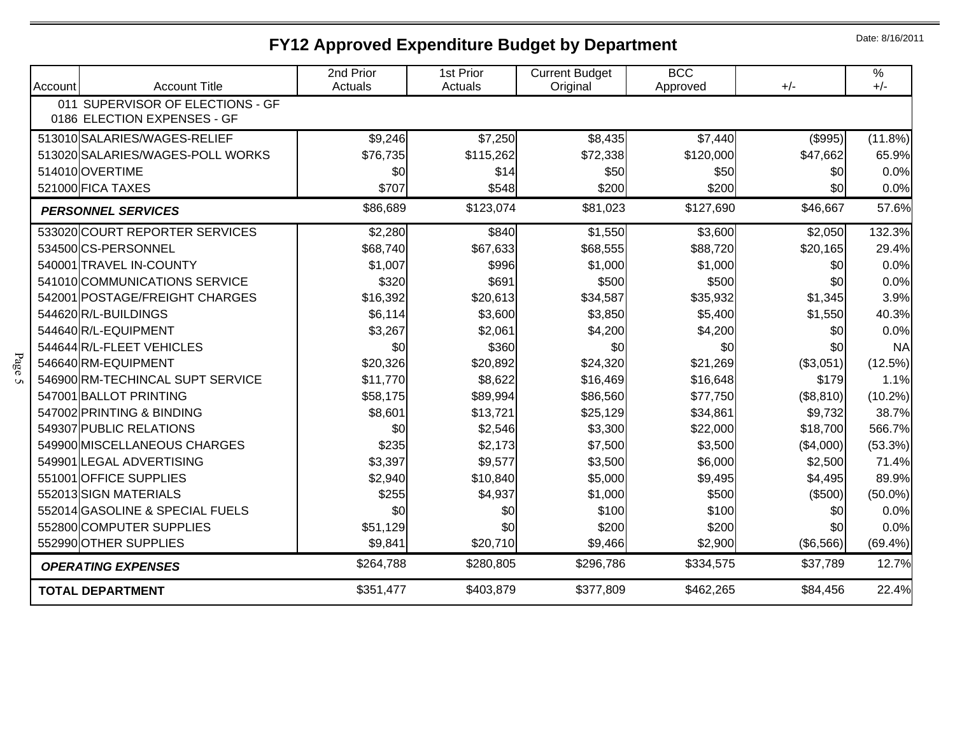## **FY12 Approved Expenditure Budget by Department**

Date: 8/16/2011

| Account | <b>Account Title</b>             | 2nd Prior<br>Actuals | 1st Prior<br>Actuals | <b>Current Budget</b><br>Original | <b>BCC</b><br>Approved | $+/-$            | $\%$<br>$+/-$ |
|---------|----------------------------------|----------------------|----------------------|-----------------------------------|------------------------|------------------|---------------|
|         | 011 SUPERVISOR OF ELECTIONS - GF |                      |                      |                                   |                        |                  |               |
|         | 0186 ELECTION EXPENSES - GF      |                      |                      |                                   |                        |                  |               |
|         | 513010 SALARIES/WAGES-RELIEF     | \$9,246              | \$7,250              | \$8,435                           | \$7,440                | (\$995)          | (11.8%)       |
|         | 513020 SALARIES/WAGES-POLL WORKS | \$76,735             | \$115,262            | \$72,338                          | \$120,000              | \$47,662         | 65.9%         |
|         | 514010 OVERTIME                  | \$0                  | \$14                 | \$50                              | \$50                   | \$0              | 0.0%          |
|         | 521000 FICA TAXES                | \$707                | \$548                | \$200                             | \$200                  | \$0              | 0.0%          |
|         | <b>PERSONNEL SERVICES</b>        | \$86,689             | \$123,074            | \$81,023                          | \$127,690              | \$46,667         | 57.6%         |
|         | 533020 COURT REPORTER SERVICES   | \$2,280              | \$840                | \$1,550                           | \$3,600                | \$2,050          | 132.3%        |
|         | 534500 CS-PERSONNEL              | \$68,740             | \$67,633             | \$68,555                          | \$88,720               | \$20,165         | 29.4%         |
|         | 540001 TRAVEL IN-COUNTY          | \$1,007              | \$996                | \$1,000                           | \$1,000                | \$0              | 0.0%          |
|         | 541010 COMMUNICATIONS SERVICE    | \$320                | \$691                | \$500                             | \$500                  | \$0              | 0.0%          |
|         | 542001 POSTAGE/FREIGHT CHARGES   | \$16,392             | \$20,613             | \$34,587                          | \$35,932               | \$1,345          | 3.9%          |
|         | 544620R/L-BUILDINGS              | \$6,114              | \$3,600              | \$3,850                           | \$5,400                | \$1,550          | 40.3%         |
|         | 544640R/L-EQUIPMENT              | \$3,267              | \$2,061              | \$4,200                           | \$4,200                | \$0              | 0.0%          |
|         | 544644 R/L-FLEET VEHICLES        | \$0                  | \$360                | \$0                               | \$0                    | \$0              | <b>NA</b>     |
|         | 546640RM-EQUIPMENT               | \$20,326             | \$20,892             | \$24,320                          | \$21,269               | (\$3,051)        | (12.5%)       |
|         | 546900 RM-TECHINCAL SUPT SERVICE | \$11,770             | \$8,622              | \$16,469                          | \$16,648               | \$179            | 1.1%          |
|         | 547001 BALLOT PRINTING           | \$58,175             | \$89,994             | \$86,560                          | \$77,750               | (\$8,810)        | (10.2%)       |
|         | 547002 PRINTING & BINDING        | \$8,601              | \$13,721             | \$25,129                          | \$34,861               | \$9,732          | 38.7%         |
|         | 549307 PUBLIC RELATIONS          | \$0                  | \$2,546              | \$3,300                           | \$22,000               | \$18,700         | 566.7%        |
|         | 549900 MISCELLANEOUS CHARGES     | \$235                | \$2,173              | \$7,500                           | \$3,500                | $(\$4,000)$      | (53.3%)       |
|         | 549901 LEGAL ADVERTISING         | \$3,397              | \$9,577              | \$3,500                           | \$6,000                | \$2,500          | 71.4%         |
|         | 551001 OFFICE SUPPLIES           | \$2,940              | \$10,840             | \$5,000                           | \$9,495                | \$4,495          | 89.9%         |
|         | 552013 SIGN MATERIALS            | \$255                | \$4,937              | \$1,000                           | \$500                  | (\$500)          | $(50.0\%)$    |
|         | 552014 GASOLINE & SPECIAL FUELS  | \$0                  | \$0                  | \$100                             | \$100                  | \$0              | 0.0%          |
|         | 552800 COMPUTER SUPPLIES         | \$51,129             | \$0                  | \$200                             | \$200                  | \$0              | 0.0%          |
|         | 552990 OTHER SUPPLIES            | \$9,841              | \$20,710             | \$9,466                           | \$2,900                | $($ \$6,566) $ $ | $(69.4\%)$    |
|         | <b>OPERATING EXPENSES</b>        | \$264,788            | \$280,805            | \$296,786                         | \$334,575              | \$37,789         | 12.7%         |
|         | <b>TOTAL DEPARTMENT</b>          | \$351,477            | \$403,879            | \$377,809                         | \$462,265              | \$84,456         | 22.4%         |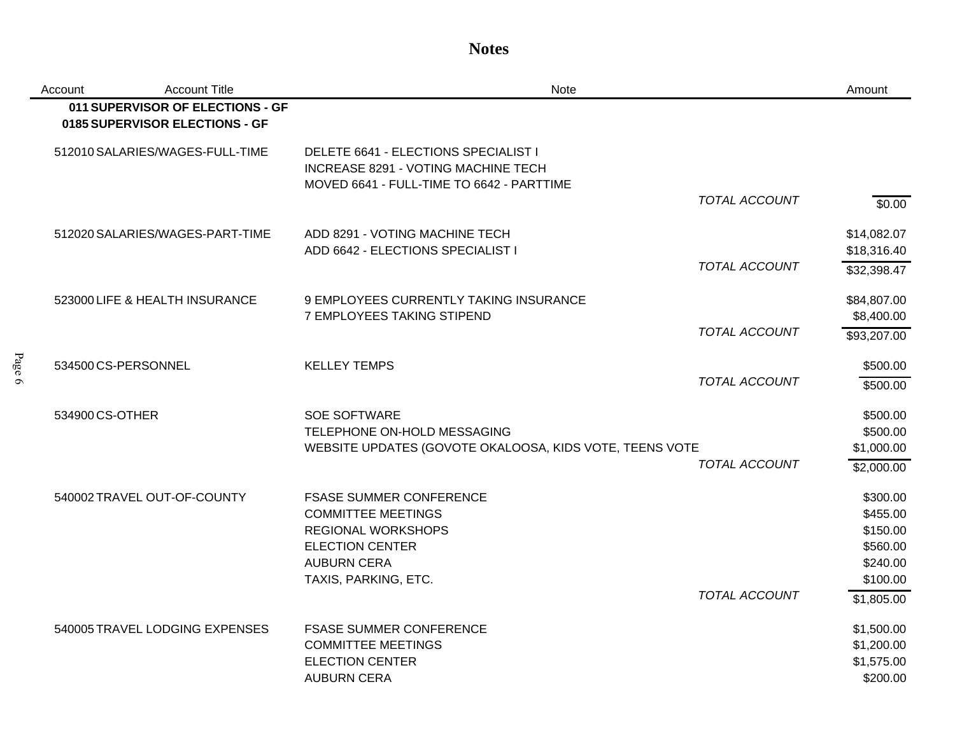#### **Notes**

| Account         | <b>Account Title</b>                                               | <b>Note</b>                                                                                                              | Amount      |
|-----------------|--------------------------------------------------------------------|--------------------------------------------------------------------------------------------------------------------------|-------------|
|                 | 011 SUPERVISOR OF ELECTIONS - GF<br>0185 SUPERVISOR ELECTIONS - GF |                                                                                                                          |             |
|                 | 512010 SALARIES/WAGES-FULL-TIME                                    | DELETE 6641 - ELECTIONS SPECIALIST I<br>INCREASE 8291 - VOTING MACHINE TECH<br>MOVED 6641 - FULL-TIME TO 6642 - PARTTIME |             |
|                 |                                                                    | <b>TOTAL ACCOUNT</b>                                                                                                     | \$0.00      |
|                 | 512020 SALARIES/WAGES-PART-TIME                                    | ADD 8291 - VOTING MACHINE TECH                                                                                           | \$14,082.07 |
|                 |                                                                    | ADD 6642 - ELECTIONS SPECIALIST I                                                                                        | \$18,316.40 |
|                 |                                                                    | <b>TOTAL ACCOUNT</b>                                                                                                     | \$32,398.47 |
|                 | 523000 LIFE & HEALTH INSURANCE                                     | 9 EMPLOYEES CURRENTLY TAKING INSURANCE                                                                                   | \$84,807.00 |
|                 |                                                                    | 7 EMPLOYEES TAKING STIPEND                                                                                               | \$8,400.00  |
|                 |                                                                    | TOTAL ACCOUNT                                                                                                            | \$93,207.00 |
|                 | 534500 CS-PERSONNEL                                                | <b>KELLEY TEMPS</b>                                                                                                      | \$500.00    |
|                 |                                                                    | TOTAL ACCOUNT                                                                                                            | \$500.00    |
| 534900 CS-OTHER |                                                                    | <b>SOE SOFTWARE</b>                                                                                                      | \$500.00    |
|                 |                                                                    | TELEPHONE ON-HOLD MESSAGING                                                                                              | \$500.00    |
|                 |                                                                    | WEBSITE UPDATES (GOVOTE OKALOOSA, KIDS VOTE, TEENS VOTE                                                                  | \$1,000.00  |
|                 |                                                                    | TOTAL ACCOUNT                                                                                                            | \$2,000.00  |
|                 | 540002 TRAVEL OUT-OF-COUNTY                                        | <b>FSASE SUMMER CONFERENCE</b>                                                                                           | \$300.00    |
|                 |                                                                    | <b>COMMITTEE MEETINGS</b>                                                                                                | \$455.00    |
|                 |                                                                    | <b>REGIONAL WORKSHOPS</b>                                                                                                | \$150.00    |
|                 |                                                                    | <b>ELECTION CENTER</b>                                                                                                   | \$560.00    |
|                 |                                                                    | <b>AUBURN CERA</b>                                                                                                       | \$240.00    |
|                 |                                                                    | TAXIS, PARKING, ETC.                                                                                                     | \$100.00    |
|                 |                                                                    | <b>TOTAL ACCOUNT</b>                                                                                                     | \$1,805.00  |
|                 | 540005 TRAVEL LODGING EXPENSES                                     | <b>FSASE SUMMER CONFERENCE</b>                                                                                           | \$1,500.00  |
|                 |                                                                    | <b>COMMITTEE MEETINGS</b>                                                                                                | \$1,200.00  |
|                 |                                                                    | <b>ELECTION CENTER</b>                                                                                                   | \$1,575.00  |
|                 |                                                                    | <b>AUBURN CERA</b>                                                                                                       | \$200.00    |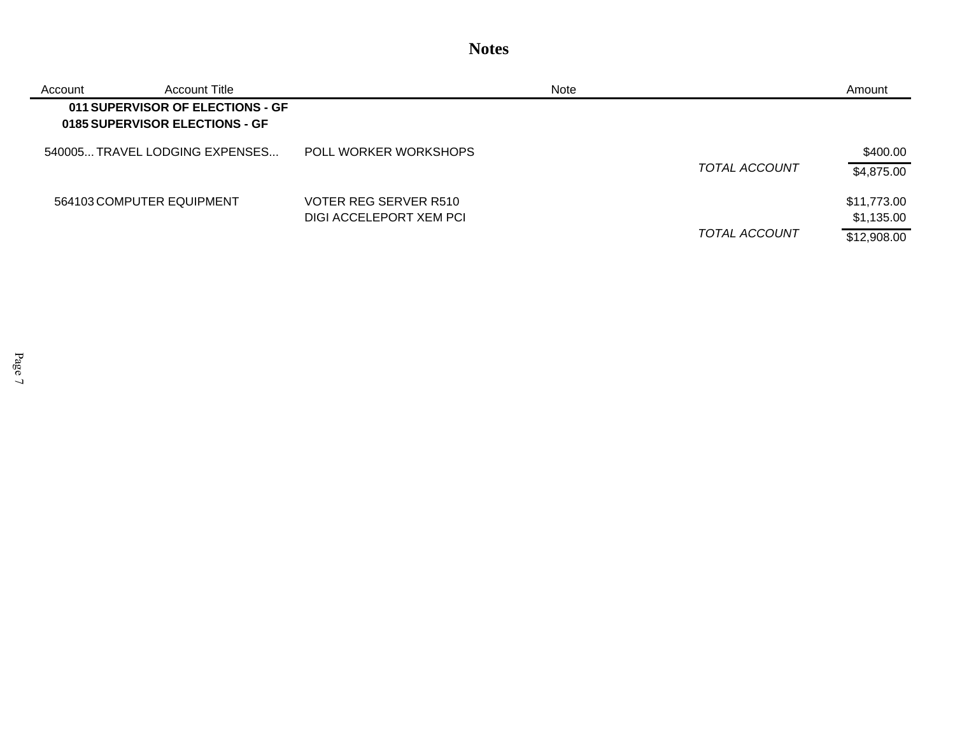#### **Notes**

| Account | Account Title                                                      |                                                  | Note |                      | Amount                                   |
|---------|--------------------------------------------------------------------|--------------------------------------------------|------|----------------------|------------------------------------------|
|         | 011 SUPERVISOR OF ELECTIONS - GF<br>0185 SUPERVISOR ELECTIONS - GF |                                                  |      |                      |                                          |
|         | 540005TRAVEL LODGING EXPENSES                                      | POLL WORKER WORKSHOPS                            |      | <b>TOTAL ACCOUNT</b> | \$400.00<br>\$4,875.00                   |
|         | 564103 COMPUTER EQUIPMENT                                          | VOTER REG SERVER R510<br>DIGI ACCELEPORT XEM PCI |      | TOTAL ACCOUNT        | \$11,773.00<br>\$1,135.00<br>\$12,908.00 |